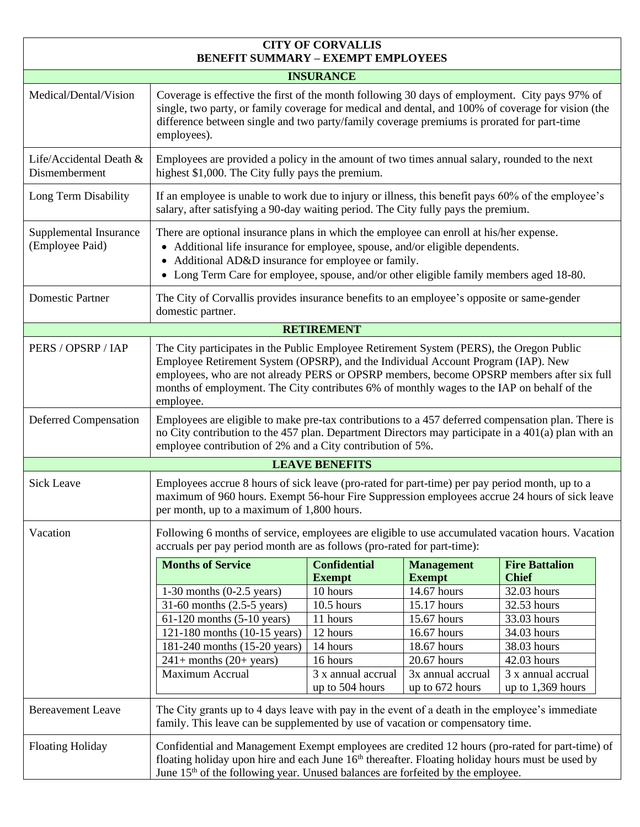| <b>CITY OF CORVALLIS</b><br><b>BENEFIT SUMMARY - EXEMPT EMPLOYEES</b> |                                                                                                                                                                                                                                                                                                                                                                                       |                                       |                                      |                                           |  |
|-----------------------------------------------------------------------|---------------------------------------------------------------------------------------------------------------------------------------------------------------------------------------------------------------------------------------------------------------------------------------------------------------------------------------------------------------------------------------|---------------------------------------|--------------------------------------|-------------------------------------------|--|
| <b>INSURANCE</b>                                                      |                                                                                                                                                                                                                                                                                                                                                                                       |                                       |                                      |                                           |  |
| Medical/Dental/Vision                                                 | Coverage is effective the first of the month following 30 days of employment. City pays 97% of<br>single, two party, or family coverage for medical and dental, and 100% of coverage for vision (the<br>difference between single and two party/family coverage premiums is prorated for part-time<br>employees).                                                                     |                                       |                                      |                                           |  |
| Life/Accidental Death &<br>Dismemberment                              | Employees are provided a policy in the amount of two times annual salary, rounded to the next<br>highest \$1,000. The City fully pays the premium.                                                                                                                                                                                                                                    |                                       |                                      |                                           |  |
| Long Term Disability                                                  | If an employee is unable to work due to injury or illness, this benefit pays 60% of the employee's<br>salary, after satisfying a 90-day waiting period. The City fully pays the premium.                                                                                                                                                                                              |                                       |                                      |                                           |  |
| Supplemental Insurance<br>(Employee Paid)                             | There are optional insurance plans in which the employee can enroll at his/her expense.<br>• Additional life insurance for employee, spouse, and/or eligible dependents.<br>Additional AD&D insurance for employee or family.<br>$\bullet$<br>Long Term Care for employee, spouse, and/or other eligible family members aged 18-80.<br>$\bullet$                                      |                                       |                                      |                                           |  |
| <b>Domestic Partner</b>                                               | The City of Corvallis provides insurance benefits to an employee's opposite or same-gender<br>domestic partner.                                                                                                                                                                                                                                                                       |                                       |                                      |                                           |  |
| <b>RETIREMENT</b>                                                     |                                                                                                                                                                                                                                                                                                                                                                                       |                                       |                                      |                                           |  |
| PERS / OPSRP / IAP                                                    | The City participates in the Public Employee Retirement System (PERS), the Oregon Public<br>Employee Retirement System (OPSRP), and the Individual Account Program (IAP). New<br>employees, who are not already PERS or OPSRP members, become OPSRP members after six full<br>months of employment. The City contributes 6% of monthly wages to the IAP on behalf of the<br>employee. |                                       |                                      |                                           |  |
| Deferred Compensation                                                 | Employees are eligible to make pre-tax contributions to a 457 deferred compensation plan. There is<br>no City contribution to the 457 plan. Department Directors may participate in a 401(a) plan with an<br>employee contribution of 2% and a City contribution of 5%.                                                                                                               |                                       |                                      |                                           |  |
| <b>LEAVE BENEFITS</b>                                                 |                                                                                                                                                                                                                                                                                                                                                                                       |                                       |                                      |                                           |  |
| <b>Sick Leave</b>                                                     | Employees accrue 8 hours of sick leave (pro-rated for part-time) per pay period month, up to a<br>maximum of 960 hours. Exempt 56-hour Fire Suppression employees accrue 24 hours of sick leave<br>per month, up to a maximum of 1,800 hours.                                                                                                                                         |                                       |                                      |                                           |  |
| Vacation                                                              | Following 6 months of service, employees are eligible to use accumulated vacation hours. Vacation<br>accruals per pay period month are as follows (pro-rated for part-time):                                                                                                                                                                                                          |                                       |                                      |                                           |  |
|                                                                       | <b>Months of Service</b>                                                                                                                                                                                                                                                                                                                                                              | <b>Confidential</b><br><b>Exempt</b>  | <b>Management</b><br><b>Exempt</b>   | <b>Fire Battalion</b><br><b>Chief</b>     |  |
|                                                                       | $1-30$ months $(0-2.5$ years)                                                                                                                                                                                                                                                                                                                                                         | 10 hours                              | 14.67 hours                          | 32.03 hours                               |  |
|                                                                       | 31-60 months $(2.5-5 \text{ years})$                                                                                                                                                                                                                                                                                                                                                  | 10.5 hours                            | 15.17 hours                          | 32.53 hours                               |  |
|                                                                       | $61-120$ months $(5-10$ years)                                                                                                                                                                                                                                                                                                                                                        | 11 hours                              | 15.67 hours                          | 33.03 hours                               |  |
|                                                                       | 121-180 months (10-15 years)                                                                                                                                                                                                                                                                                                                                                          | 12 hours                              | 16.67 hours                          | 34.03 hours                               |  |
|                                                                       | 181-240 months (15-20 years)                                                                                                                                                                                                                                                                                                                                                          | 14 hours                              | 18.67 hours                          | 38.03 hours                               |  |
|                                                                       | $241+$ months $(20+$ years)                                                                                                                                                                                                                                                                                                                                                           | 16 hours                              | 20.67 hours                          | 42.03 hours                               |  |
|                                                                       | <b>Maximum Accrual</b>                                                                                                                                                                                                                                                                                                                                                                | 3 x annual accrual<br>up to 504 hours | 3x annual accrual<br>up to 672 hours | 3 x annual accrual<br>up to $1,369$ hours |  |
| <b>Bereavement Leave</b>                                              | The City grants up to 4 days leave with pay in the event of a death in the employee's immediate<br>family. This leave can be supplemented by use of vacation or compensatory time.                                                                                                                                                                                                    |                                       |                                      |                                           |  |
| <b>Floating Holiday</b>                                               | Confidential and Management Exempt employees are credited 12 hours (pro-rated for part-time) of<br>floating holiday upon hire and each June $16th$ thereafter. Floating holiday hours must be used by<br>June 15 <sup>th</sup> of the following year. Unused balances are forfeited by the employee.                                                                                  |                                       |                                      |                                           |  |